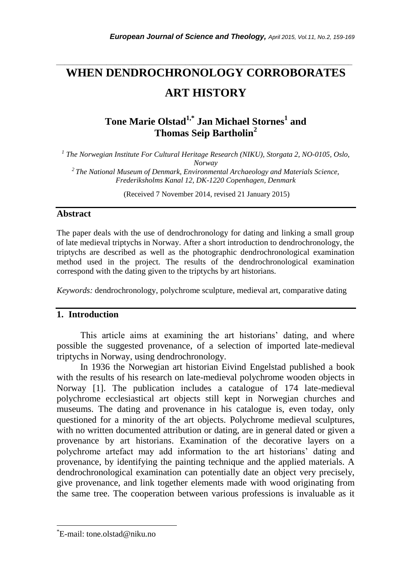# *\_\_\_\_\_\_\_\_\_\_\_\_\_\_\_\_\_\_\_\_\_\_\_\_\_\_\_\_\_\_\_\_\_\_\_\_\_\_\_\_\_\_\_\_\_\_\_\_\_\_\_\_\_\_\_\_\_\_\_\_\_\_\_\_\_\_\_\_\_\_\_* **WHEN DENDROCHRONOLOGY CORROBORATES ART HISTORY**

## **Tone Marie Olstad1,\* Jan Michael Stornes<sup>1</sup> and Thomas Seip Bartholin<sup>2</sup>**

*1 The Norwegian Institute For Cultural Heritage Research (NIKU), Storgata 2, NO-0105, Oslo, Norway*

*<sup>2</sup>The National Museum of Denmark, Environmental Archaeology and Materials Science, Frederiksholms Kanal 12, DK-1220 Copenhagen, Denmark*

(Received 7 November 2014, revised 21 January 2015)

## **Abstract**

The paper deals with the use of dendrochronology for dating and linking a small group of late medieval triptychs in Norway. After a short introduction to dendrochronology, the triptychs are described as well as the photographic dendrochronological examination method used in the project. The results of the dendrochronological examination correspond with the dating given to the triptychs by art historians.

*Keywords:* dendrochronology, polychrome sculpture, medieval art, comparative dating

## **1. Introduction**

This article aims at examining the art historians' dating, and where possible the suggested provenance, of a selection of imported late-medieval triptychs in Norway, using dendrochronology.

In 1936 the Norwegian art historian Eivind Engelstad published a book with the results of his research on late-medieval polychrome wooden objects in Norway [1]. The publication includes a catalogue of 174 late-medieval polychrome ecclesiastical art objects still kept in Norwegian churches and museums. The dating and provenance in his catalogue is, even today, only questioned for a minority of the art objects. Polychrome medieval sculptures, with no written documented attribution or dating, are in general dated or given a provenance by art historians. Examination of the decorative layers on a polychrome artefact may add information to the art historians' dating and provenance, by identifying the painting technique and the applied materials. A dendrochronological examination can potentially date an object very precisely, give provenance, and link together elements made with wood originating from the same tree. The cooperation between various professions is invaluable as it

l

<sup>\*</sup>E-mail: tone.olstad@niku.no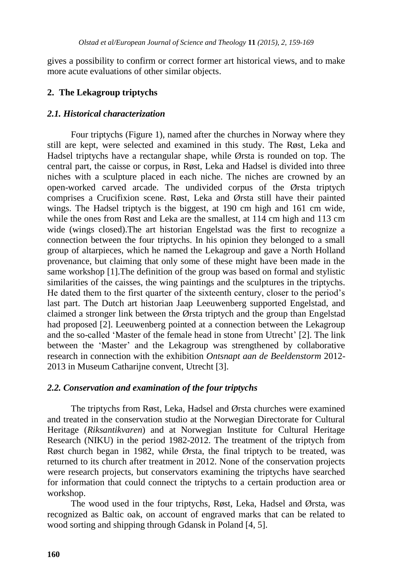gives a possibility to confirm or correct former art historical views, and to make more acute evaluations of other similar objects.

## **2. The Lekagroup triptychs**

## *2.1. Historical characterization*

Four triptychs (Figure 1), named after the churches in Norway where they still are kept, were selected and examined in this study. The Røst, Leka and Hadsel triptychs have a rectangular shape, while Ørsta is rounded on top. The central part, the caisse or corpus, in Røst, Leka and Hadsel is divided into three niches with a sculpture placed in each niche. The niches are crowned by an open-worked carved arcade. The undivided corpus of the Ørsta triptych comprises a Crucifixion scene. Røst, Leka and Ørsta still have their painted wings. The Hadsel triptych is the biggest, at 190 cm high and 161 cm wide, while the ones from Røst and Leka are the smallest, at 114 cm high and 113 cm wide (wings closed).The art historian Engelstad was the first to recognize a connection between the four triptychs. In his opinion they belonged to a small group of altarpieces, which he named the Lekagroup and gave a North Holland provenance, but claiming that only some of these might have been made in the same workshop [1].The definition of the group was based on formal and stylistic similarities of the caisses, the wing paintings and the sculptures in the triptychs. He dated them to the first quarter of the sixteenth century, closer to the period's last part. The Dutch art historian Jaap Leeuwenberg supported Engelstad, and claimed a stronger link between the Ørsta triptych and the group than Engelstad had proposed [2]. Leeuwenberg pointed at a connection between the Lekagroup and the so-called 'Master of the female head in stone from Utrecht' [2]. The link between the 'Master' and the Lekagroup was strengthened by collaborative research in connection with the exhibition *Ontsnapt aan de Beeldenstorm* 2012- 2013 in Museum Catharijne convent, Utrecht [3].

## *2.2. Conservation and examination of the four triptychs*

The triptychs from Røst, Leka, Hadsel and Ørsta churches were examined and treated in the conservation studio at the Norwegian Directorate for Cultural Heritage (*Riksantikvaren*) and at Norwegian Institute for Cultural Heritage Research (NIKU) in the period 1982-2012. The treatment of the triptych from Røst church began in 1982, while Ørsta, the final triptych to be treated, was returned to its church after treatment in 2012. None of the conservation projects were research projects, but conservators examining the triptychs have searched for information that could connect the triptychs to a certain production area or workshop.

The wood used in the four triptychs, Røst, Leka, Hadsel and Ørsta, was recognized as Baltic oak, on account of engraved marks that can be related to wood sorting and shipping through Gdansk in Poland [4, 5].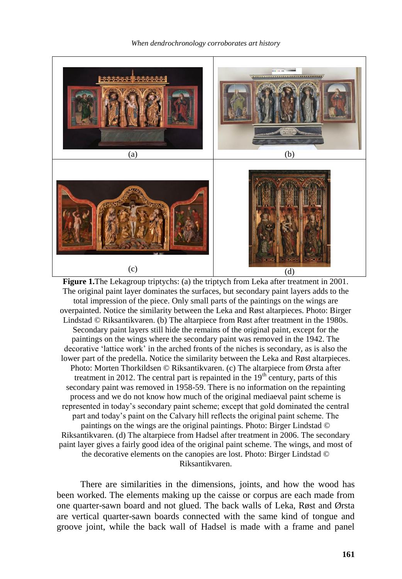*When dendrochronology corroborates art history*



**Figure 1.** The Lekagroup triptychs: (a) the triptych from Leka after treatment in 2001. The original paint layer dominates the surfaces, but secondary paint layers adds to the total impression of the piece. Only small parts of the paintings on the wings are overpainted. Notice the similarity between the Leka and Røst altarpieces. Photo: Birger Lindstad © Riksantikvaren. (b) The altarpiece from Røst after treatment in the 1980s. Secondary paint layers still hide the remains of the original paint, except for the paintings on the wings where the secondary paint was removed in the 1942. The decorative 'lattice work' in the arched fronts of the niches is secondary, as is also the lower part of the predella. Notice the similarity between the Leka and Røst altarpieces. Photo: Morten Thorkildsen © Riksantikvaren. (c) The altarpiece from Ørsta after treatment in 2012. The central part is repainted in the  $19<sup>th</sup>$  century, parts of this secondary paint was removed in 1958-59. There is no information on the repainting process and we do not know how much of the original mediaeval paint scheme is represented in today's secondary paint scheme; except that gold dominated the central part and today's paint on the Calvary hill reflects the original paint scheme. The paintings on the wings are the original paintings. Photo: Birger Lindstad © Riksantikvaren. (d) The altarpiece from Hadsel after treatment in 2006. The secondary paint layer gives a fairly good idea of the original paint scheme. The wings, and most of the decorative elements on the canopies are lost. Photo: Birger Lindstad © Riksantikvaren.

There are similarities in the dimensions, joints, and how the wood has been worked. The elements making up the caisse or corpus are each made from one quarter-sawn board and not glued. The back walls of Leka, Røst and Ørsta are vertical quarter-sawn boards connected with the same kind of tongue and groove joint, while the back wall of Hadsel is made with a frame and panel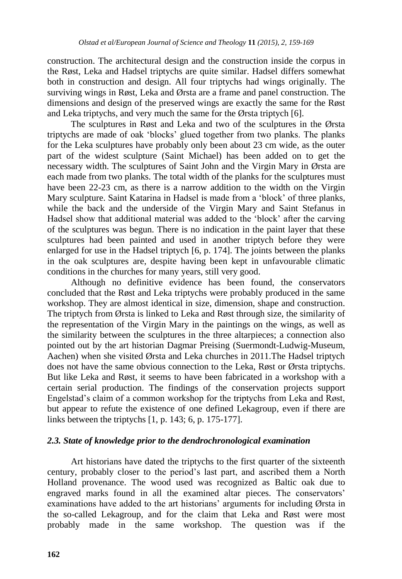construction. The architectural design and the construction inside the corpus in the Røst, Leka and Hadsel triptychs are quite similar. Hadsel differs somewhat both in construction and design. All four triptychs had wings originally. The surviving wings in Røst, Leka and Ørsta are a frame and panel construction. The dimensions and design of the preserved wings are exactly the same for the Røst and Leka triptychs, and very much the same for the Ørsta triptych [6].

The sculptures in Røst and Leka and two of the sculptures in the Ørsta triptychs are made of oak 'blocks' glued together from two planks. The planks for the Leka sculptures have probably only been about 23 cm wide, as the outer part of the widest sculpture (Saint Michael) has been added on to get the necessary width. The sculptures of Saint John and the Virgin Mary in Ørsta are each made from two planks. The total width of the planks for the sculptures must have been 22-23 cm, as there is a narrow addition to the width on the Virgin Mary sculpture. Saint Katarina in Hadsel is made from a 'block' of three planks, while the back and the underside of the Virgin Mary and Saint Stefanus in Hadsel show that additional material was added to the 'block' after the carving of the sculptures was begun. There is no indication in the paint layer that these sculptures had been painted and used in another triptych before they were enlarged for use in the Hadsel triptych [6, p. 174]. The joints between the planks in the oak sculptures are, despite having been kept in unfavourable climatic conditions in the churches for many years, still very good.

Although no definitive evidence has been found, the conservators concluded that the Røst and Leka triptychs were probably produced in the same workshop. They are almost identical in size, dimension, shape and construction. The triptych from Ørsta is linked to Leka and Røst through size, the similarity of the representation of the Virgin Mary in the paintings on the wings, as well as the similarity between the sculptures in the three altarpieces; a connection also pointed out by the art historian Dagmar Preising (Suermondt-Ludwig-Museum, Aachen) when she visited Ørsta and Leka churches in 2011.The Hadsel triptych does not have the same obvious connection to the Leka, Røst or Ørsta triptychs. But like Leka and Røst, it seems to have been fabricated in a workshop with a certain serial production. The findings of the conservation projects support Engelstad's claim of a common workshop for the triptychs from Leka and Røst, but appear to refute the existence of one defined Lekagroup, even if there are links between the triptychs [1, p. 143; 6, p. 175-177].

#### *2.3. State of knowledge prior to the dendrochronological examination*

Art historians have dated the triptychs to the first quarter of the sixteenth century, probably closer to the period's last part, and ascribed them a North Holland provenance. The wood used was recognized as Baltic oak due to engraved marks found in all the examined altar pieces. The conservators' examinations have added to the art historians' arguments for including Ørsta in the so-called Lekagroup, and for the claim that Leka and Røst were most probably made in the same workshop. The question was if the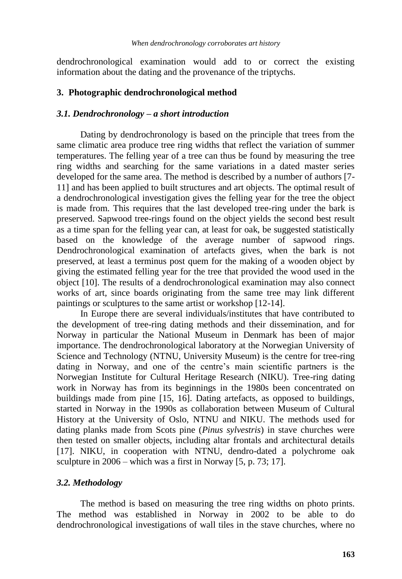dendrochronological examination would add to or correct the existing information about the dating and the provenance of the triptychs.

#### **3. Photographic dendrochronological method**

#### *3.1. Dendrochronology – a short introduction*

Dating by dendrochronology is based on the principle that trees from the same climatic area produce tree ring widths that reflect the variation of summer temperatures. The felling year of a tree can thus be found by measuring the tree ring widths and searching for the same variations in a dated master series developed for the same area. The method is described by a number of authors [7- 11] and has been applied to built structures and art objects. The optimal result of a dendrochronological investigation gives the felling year for the tree the object is made from. This requires that the last developed tree-ring under the bark is preserved. Sapwood tree-rings found on the object yields the second best result as a time span for the felling year can, at least for oak, be suggested statistically based on the knowledge of the average number of sapwood rings. Dendrochronological examination of artefacts gives, when the bark is not preserved, at least a terminus post quem for the making of a wooden object by giving the estimated felling year for the tree that provided the wood used in the object [10]. The results of a dendrochronological examination may also connect works of art, since boards originating from the same tree may link different paintings or sculptures to the same artist or workshop [12-14].

In Europe there are several individuals/institutes that have contributed to the development of tree-ring dating methods and their dissemination, and for Norway in particular the National Museum in Denmark has been of major importance. The dendrochronological laboratory at the Norwegian University of Science and Technology (NTNU, University Museum) is the centre for tree-ring dating in Norway, and one of the centre's main scientific partners is the Norwegian Institute for Cultural Heritage Research (NIKU). Tree-ring dating work in Norway has from its beginnings in the 1980s been concentrated on buildings made from pine [15, 16]. Dating artefacts, as opposed to buildings, started in Norway in the 1990s as collaboration between Museum of Cultural History at the University of Oslo, NTNU and NIKU. The methods used for dating planks made from Scots pine (*Pinus sylvestris*) in stave churches were then tested on smaller objects, including altar frontals and architectural details [17]. NIKU, in cooperation with NTNU, dendro-dated a polychrome oak sculpture in 2006 – which was a first in Norway [5, p. 73; 17].

#### *3.2. Methodology*

The method is based on measuring the tree ring widths on photo prints. The method was established in Norway in 2002 to be able to do dendrochronological investigations of wall tiles in the stave churches, where no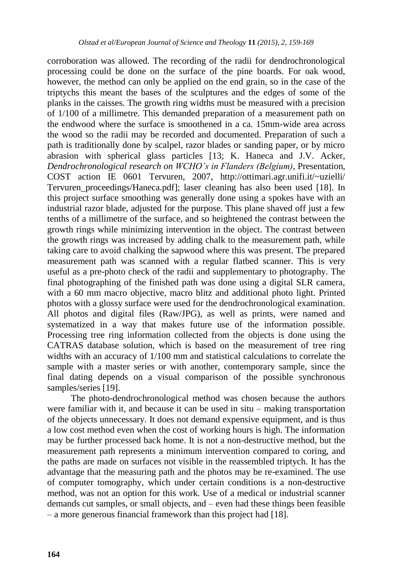corroboration was allowed. The recording of the radii for dendrochronological processing could be done on the surface of the pine boards. For oak wood, however, the method can only be applied on the end grain, so in the case of the triptychs this meant the bases of the sculptures and the edges of some of the planks in the caisses. The growth ring widths must be measured with a precision of 1/100 of a millimetre. This demanded preparation of a measurement path on the endwood where the surface is smoothened in a ca. 15mm-wide area across the wood so the radii may be recorded and documented. Preparation of such a path is traditionally done by scalpel, razor blades or sanding paper, or by micro abrasion with spherical glass particles [13; K. Haneca and J.V. Acker, *Dendrochronological research on WCHO's in Flanders (Belgium)*, Presentation, COST action IE 0601 Tervuren, 2007, http://ottimari.agr.unifi.it/~uzielli/ Tervuren\_proceedings/Haneca.pdf]; laser cleaning has also been used [18]. In this project surface smoothing was generally done using a spokes have with an industrial razor blade, adjusted for the purpose. This plane shaved off just a few tenths of a millimetre of the surface, and so heightened the contrast between the growth rings while minimizing intervention in the object. The contrast between the growth rings was increased by adding chalk to the measurement path, while taking care to avoid chalking the sapwood where this was present. The prepared measurement path was scanned with a regular flatbed scanner. This is very useful as a pre-photo check of the radii and supplementary to photography. The final photographing of the finished path was done using a digital SLR camera, with a 60 mm macro objective, macro blitz and additional photo light. Printed photos with a glossy surface were used for the dendrochronological examination. All photos and digital files (Raw/JPG), as well as prints, were named and systematized in a way that makes future use of the information possible. Processing tree ring information collected from the objects is done using the CATRAS database solution, which is based on the measurement of tree ring widths with an accuracy of 1/100 mm and statistical calculations to correlate the sample with a master series or with another, contemporary sample, since the final dating depends on a visual comparison of the possible synchronous samples/series [19].

The photo-dendrochronological method was chosen because the authors were familiar with it, and because it can be used in situ – making transportation of the objects unnecessary. It does not demand expensive equipment, and is thus a low cost method even when the cost of working hours is high. The information may be further processed back home. It is not a non-destructive method, but the measurement path represents a minimum intervention compared to coring, and the paths are made on surfaces not visible in the reassembled triptych. It has the advantage that the measuring path and the photos may be re-examined. The use of computer tomography, which under certain conditions is a non-destructive method, was not an option for this work. Use of a medical or industrial scanner demands cut samples, or small objects, and – even had these things been feasible – a more generous financial framework than this project had [18].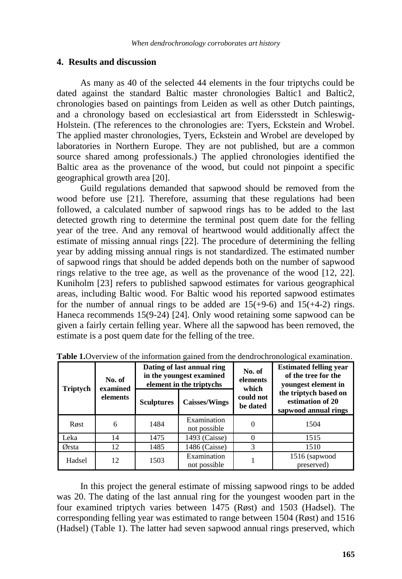#### **4. Results and discussion**

As many as 40 of the selected 44 elements in the four triptychs could be dated against the standard Baltic master chronologies Baltic1 and Baltic2, chronologies based on paintings from Leiden as well as other Dutch paintings, and a chronology based on ecclesiastical art from Eidersstedt in Schleswig-Holstein. (The references to the chronologies are: Tyers, Eckstein and Wrobel. The applied master chronologies, Tyers, Eckstein and Wrobel are developed by laboratories in Northern Europe. They are not published, but are a common source shared among professionals.) The applied chronologies identified the Baltic area as the provenance of the wood, but could not pinpoint a specific geographical growth area [20].

Guild regulations demanded that sapwood should be removed from the wood before use [21]. Therefore, assuming that these regulations had been followed, a calculated number of sapwood rings has to be added to the last detected growth ring to determine the terminal post quem date for the felling year of the tree. And any removal of heartwood would additionally affect the estimate of missing annual rings [22]. The procedure of determining the felling year by adding missing annual rings is not standardized. The estimated number of sapwood rings that should be added depends both on the number of sapwood rings relative to the tree age, as well as the provenance of the wood [12, 22]. Kuniholm [23] refers to published sapwood estimates for various geographical areas, including Baltic wood. For Baltic wood his reported sapwood estimates for the number of annual rings to be added are  $15(+9-6)$  and  $15(+4-2)$  rings. Haneca recommends 15(9-24) [24]. Only wood retaining some sapwood can be given a fairly certain felling year. Where all the sapwood has been removed, the estimate is a post quem date for the felling of the tree.

| <b>Triptych</b> | No. of<br>examined<br>elements |                   | Dating of last annual ring<br>in the youngest examined<br>element in the triptychs | No. of<br>elements<br>which | <b>Estimated felling year</b><br>of the tree for the<br>youngest element in<br>the triptych based on<br>estimation of 20<br>sapwood annual rings |  |
|-----------------|--------------------------------|-------------------|------------------------------------------------------------------------------------|-----------------------------|--------------------------------------------------------------------------------------------------------------------------------------------------|--|
|                 |                                | <b>Sculptures</b> | <b>Caisses/Wings</b>                                                               | could not<br>be dated       |                                                                                                                                                  |  |
| Røst            | 6                              | 1484              | Examination<br>not possible                                                        | 0                           | 1504                                                                                                                                             |  |
| Leka            | 14                             | 1475              | 1493 (Caisse)                                                                      |                             | 1515                                                                                                                                             |  |
| Ørsta           | 12                             | 1485              | 1486 (Caisse)                                                                      |                             | 1510                                                                                                                                             |  |
| Hadsel          | 12                             | 1503              | Examination<br>not possible                                                        |                             | 1516 (sapwood<br>preserved)                                                                                                                      |  |

**Table 1.**Overview of the information gained from the dendrochronological examination.

In this project the general estimate of missing sapwood rings to be added was 20. The dating of the last annual ring for the youngest wooden part in the four examined triptych varies between 1475 (Røst) and 1503 (Hadsel). The corresponding felling year was estimated to range between 1504 (Røst) and 1516 (Hadsel) (Table 1). The latter had seven sapwood annual rings preserved, which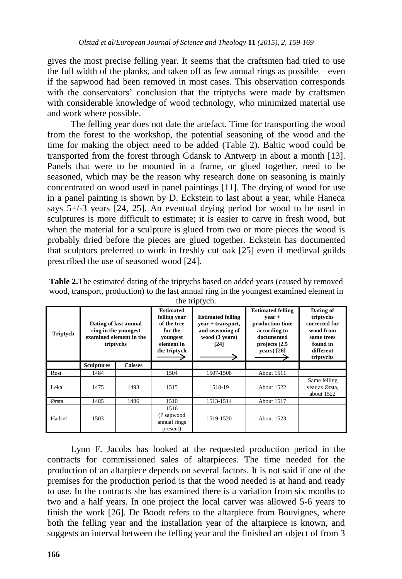gives the most precise felling year. It seems that the craftsmen had tried to use the full width of the planks, and taken off as few annual rings as possible – even if the sapwood had been removed in most cases. This observation corresponds with the conservators' conclusion that the triptychs were made by craftsmen with considerable knowledge of wood technology, who minimized material use and work where possible.

The felling year does not date the artefact. Time for transporting the wood from the forest to the workshop, the potential seasoning of the wood and the time for making the object need to be added (Table 2). Baltic wood could be transported from the forest through Gdansk to Antwerp in about a month [13]. Panels that were to be mounted in a frame, or glued together, need to be seasoned, which may be the reason why research done on seasoning is mainly concentrated on wood used in panel paintings [11]. The drying of wood for use in a panel painting is shown by D. Eckstein to last about a year, while Haneca says  $5+/3$  years [24, 25]. An eventual drying period for wood to be used in sculptures is more difficult to estimate; it is easier to carve in fresh wood, but when the material for a sculpture is glued from two or more pieces the wood is probably dried before the pieces are glued together. Eckstein has documented that sculptors preferred to work in freshly cut oak [25] even if medieval guilds prescribed the use of seasoned wood [24].

| Triptych | Dating of last annual<br>ring in the voungest<br>examined element in the<br>triptychs |                | <b>Estimated</b><br>felling year<br>of the tree<br>for the<br>voungest<br>element in<br>the triptych | <b>Estimated felling</b><br>year + transport,<br>and seasoning of<br>wood (3 years)<br>[24] | <b>Estimated felling</b><br>$year +$<br>production time<br>according to<br>documented<br>projects (2.5)<br>vears) $[26]$ | Dating of<br>triptychs<br>corrected for<br>wood from<br>same trees<br>found in<br>different<br>triptychs |
|----------|---------------------------------------------------------------------------------------|----------------|------------------------------------------------------------------------------------------------------|---------------------------------------------------------------------------------------------|--------------------------------------------------------------------------------------------------------------------------|----------------------------------------------------------------------------------------------------------|
|          | <b>Sculptures</b>                                                                     | <b>Caisses</b> |                                                                                                      |                                                                                             |                                                                                                                          |                                                                                                          |
| Røst     | 1484                                                                                  |                | 1504                                                                                                 | 1507-1508                                                                                   | About 1511                                                                                                               |                                                                                                          |
| Leka     | 1475                                                                                  | 1493           | 1515                                                                                                 | 1518-19                                                                                     | About 1522                                                                                                               | Same felling<br>year as Ørsta,<br>about 1522                                                             |
| Ørsta    | 1485                                                                                  | 1486           | 1510                                                                                                 | 1513-1514                                                                                   | About 1517                                                                                                               |                                                                                                          |
| Hadsel   | 1503                                                                                  |                | 1516<br>(7 sapwood<br>annual rings<br>present)                                                       | 1519-1520                                                                                   | About 1523                                                                                                               |                                                                                                          |

**Table 2.**The estimated dating of the triptychs based on added years (caused by removed wood, transport, production) to the last annual ring in the youngest examined element in the triptych.

Lynn F. Jacobs has looked at the requested production period in the contracts for commissioned sales of altarpieces. The time needed for the production of an altarpiece depends on several factors. It is not said if one of the premises for the production period is that the wood needed is at hand and ready to use. In the contracts she has examined there is a variation from six months to two and a half years. In one project the local carver was allowed 5-6 years to finish the work [26]. De Boodt refers to the altarpiece from Bouvignes, where both the felling year and the installation year of the altarpiece is known, and suggests an interval between the felling year and the finished art object of from 3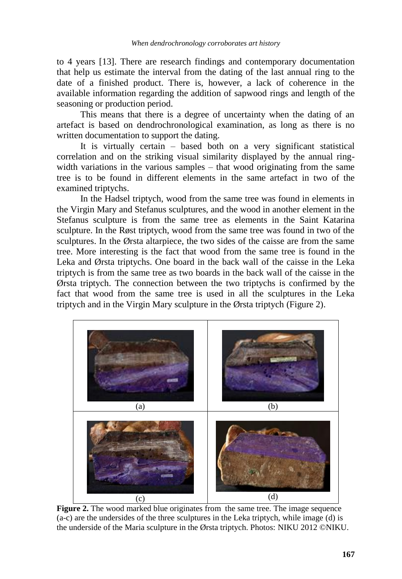to 4 years [13]. There are research findings and contemporary documentation that help us estimate the interval from the dating of the last annual ring to the date of a finished product. There is, however, a lack of coherence in the available information regarding the addition of sapwood rings and length of the seasoning or production period.

This means that there is a degree of uncertainty when the dating of an artefact is based on dendrochronological examination, as long as there is no written documentation to support the dating.

It is virtually certain – based both on a very significant statistical correlation and on the striking visual similarity displayed by the annual ringwidth variations in the various samples – that wood originating from the same tree is to be found in different elements in the same artefact in two of the examined triptychs.

In the Hadsel triptych, wood from the same tree was found in elements in the Virgin Mary and Stefanus sculptures, and the wood in another element in the Stefanus sculpture is from the same tree as elements in the Saint Katarina sculpture. In the Røst triptych, wood from the same tree was found in two of the sculptures. In the Ørsta altarpiece, the two sides of the caisse are from the same tree. More interesting is the fact that wood from the same tree is found in the Leka and Ørsta triptychs. One board in the back wall of the caisse in the Leka triptych is from the same tree as two boards in the back wall of the caisse in the Ørsta triptych. The connection between the two triptychs is confirmed by the fact that wood from the same tree is used in all the sculptures in the Leka triptych and in the Virgin Mary sculpture in the Ørsta triptych (Figure 2).



**Figure 2.** The wood marked blue originates from the same tree. The image sequence (a-c) are the undersides of the three sculptures in the Leka triptych, while image (d) is the underside of the Maria sculpture in the Ørsta triptych. Photos: NIKU 2012 ©NIKU.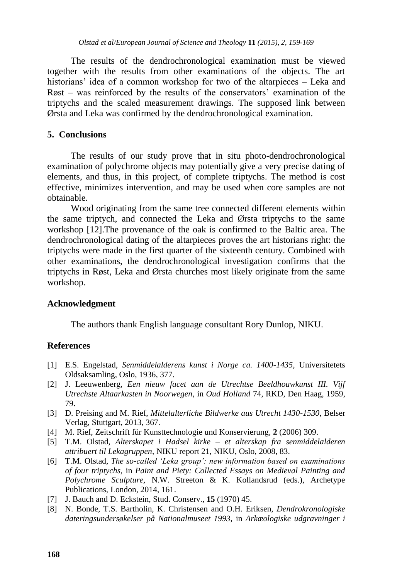The results of the dendrochronological examination must be viewed together with the results from other examinations of the objects. The art historians' idea of a common workshop for two of the altarpieces – Leka and Røst – was reinforced by the results of the conservators' examination of the triptychs and the scaled measurement drawings. The supposed link between Ørsta and Leka was confirmed by the dendrochronological examination.

#### **5. Conclusions**

The results of our study prove that in situ photo-dendrochronological examination of polychrome objects may potentially give a very precise dating of elements, and thus, in this project, of complete triptychs. The method is cost effective, minimizes intervention, and may be used when core samples are not obtainable.

Wood originating from the same tree connected different elements within the same triptych, and connected the Leka and Ørsta triptychs to the same workshop [12].The provenance of the oak is confirmed to the Baltic area. The dendrochronological dating of the altarpieces proves the art historians right: the triptychs were made in the first quarter of the sixteenth century. Combined with other examinations, the dendrochronological investigation confirms that the triptychs in Røst, Leka and Ørsta churches most likely originate from the same workshop.

#### **Acknowledgment**

The authors thank English language consultant Rory Dunlop, NIKU.

#### **References**

- [1] E.S. Engelstad, *Senmiddelalderens kunst i Norge ca. 1400-1435*, Universitetets Oldsaksamling, Oslo, 1936, 377.
- [2] J. Leeuwenberg, *Een nieuw facet aan de Utrechtse Beeldhouwkunst III. Vijf Utrechste Altaarkasten in Noorwegen*, in *Oud Holland* 74, RKD, Den Haag, 1959, 79.
- [3] D. Preising and M. Rief, *Mittelalterliche Bildwerke aus Utrecht 1430-1530*, Belser Verlag, Stuttgart, 2013, 367.
- [4] M. Rief, Zeitschrift für Kunsttechnologie und Konservierung*,* **2** (2006) 309.
- [5] T.M. Olstad, *Alterskapet i Hadsel kirke – et alterskap fra senmiddelalderen attribuert til Lekagruppen,* NIKU report 21, NIKU, Oslo, 2008, 83.
- [6] T.M. Olstad, *The so-called 'Leka group': new information based on examinations of four triptychs,* in *Paint and Piety: Collected Essays on Medieval Painting and Polychrome Sculpture,* N.W. Streeton & K. Kollandsrud (eds.), Archetype Publications, London, 2014, 161.
- [7] J. Bauch and D. Eckstein, Stud. Conserv.*,* **15** (1970) 45.
- [8] N. Bonde, T.S. Bartholin, K. Christensen and O.H. Eriksen, *Dendrokronologiske dateringsundersøkelser på Nationalmuseet 1993,* in *Arkæologiske udgravninger i*